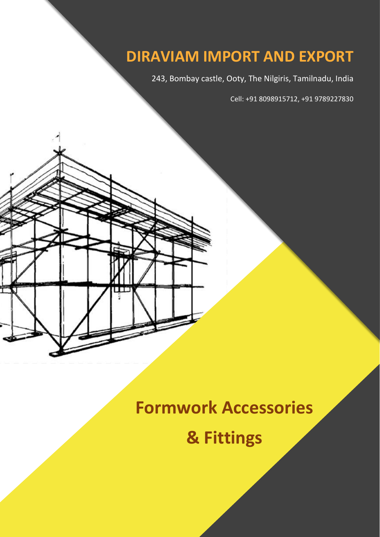## **DIRAVIAM IMPORT AND EXPORT**

243, Bombay castle, Ooty, The Nilgiris, Tamilnadu, India

Cell: +91 8098915712, +91 9789227830

## **Formwork Accessories**

**& Fittings**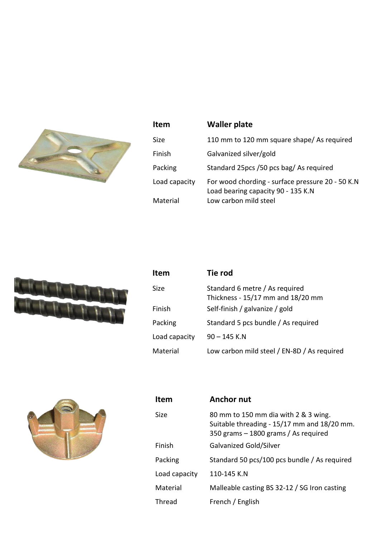

| <b>Item</b>   | <b>Waller plate</b>                                                                    |
|---------------|----------------------------------------------------------------------------------------|
| Size.         | 110 mm to 120 mm square shape/ As required                                             |
| Finish        | Galvanized silver/gold                                                                 |
| Packing       | Standard 25pcs /50 pcs bag/ As required                                                |
| Load capacity | For wood chording - surface pressure 20 - 50 K.N<br>Load bearing capacity 90 - 135 K.N |
| Material      | Low carbon mild steel                                                                  |



| <b>Item</b>   | Tie rod                                                             |
|---------------|---------------------------------------------------------------------|
| Size          | Standard 6 metre / As required<br>Thickness - 15/17 mm and 18/20 mm |
| Finish        | Self-finish / galvanize / gold                                      |
| Packing       | Standard 5 pcs bundle / As required                                 |
| Load capacity | $90 - 145$ K.N                                                      |
| Material      | Low carbon mild steel / EN-8D / As required                         |



| <b>Item</b>   | <b>Anchor nut</b>                                                                                                           |
|---------------|-----------------------------------------------------------------------------------------------------------------------------|
| Size          | 80 mm to 150 mm dia with 2 & 3 wing.<br>Suitable threading - 15/17 mm and 18/20 mm.<br>350 grams - 1800 grams / As required |
| Finish        | Galvanized Gold/Silver                                                                                                      |
| Packing       | Standard 50 pcs/100 pcs bundle / As required                                                                                |
| Load capacity | 110-145 K.N                                                                                                                 |
| Material      | Malleable casting BS 32-12 / SG Iron casting                                                                                |
| Thread        | French / English                                                                                                            |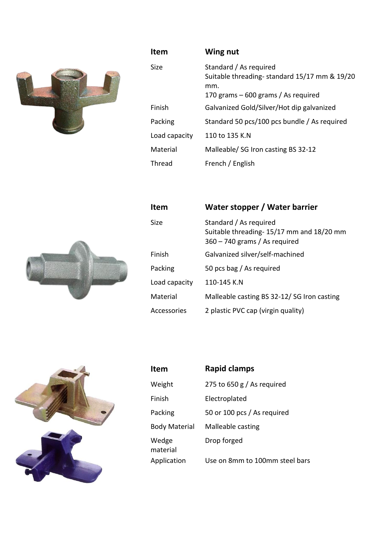

| <b>Item</b>   | Wing nut                                                                                                              |
|---------------|-----------------------------------------------------------------------------------------------------------------------|
| Size          | Standard / As required<br>Suitable threading-standard 15/17 mm & 19/20<br>mm.<br>170 grams $-600$ grams / As required |
| Finish        | Galvanized Gold/Silver/Hot dip galvanized                                                                             |
| Packing       | Standard 50 pcs/100 pcs bundle / As required                                                                          |
| Load capacity | 110 to 135 K.N                                                                                                        |
| Material      | Malleable/ SG Iron casting BS 32-12                                                                                   |
| Thread        | French / English                                                                                                      |



| <b>Item</b>   | Water stopper / Water barrier                                                                         |
|---------------|-------------------------------------------------------------------------------------------------------|
| <b>Size</b>   | Standard / As required<br>Suitable threading-15/17 mm and 18/20 mm<br>$360 - 740$ grams / As required |
| Finish        | Galvanized silver/self-machined                                                                       |
| Packing       | 50 pcs bag / As required                                                                              |
| Load capacity | 110-145 K.N                                                                                           |
| Material      | Malleable casting BS 32-12/SG Iron casting                                                            |
| Accessories   | 2 plastic PVC cap (virgin quality)                                                                    |



| Item                 | <b>Rapid clamps</b>            |
|----------------------|--------------------------------|
| Weight               | 275 to 650 $g/$ As required    |
| Finish               | Electroplated                  |
| Packing              | 50 or 100 pcs / As required    |
| <b>Body Material</b> | Malleable casting              |
| Wedge<br>material    | Drop forged                    |
| Application          | Use on 8mm to 100mm steel bars |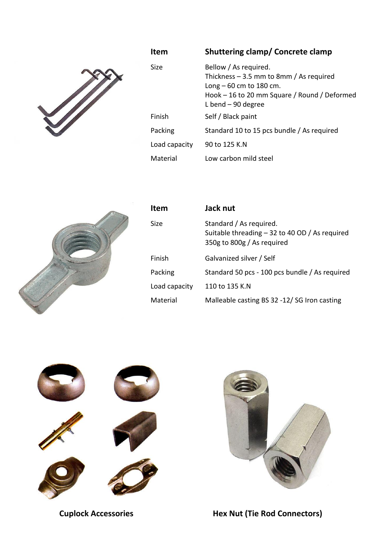

| Item          | <b>Shuttering clamp/ Concrete clamp</b>                                                                                                                                |
|---------------|------------------------------------------------------------------------------------------------------------------------------------------------------------------------|
| Size          | Bellow / As required.<br>Thickness $-3.5$ mm to 8mm / As required<br>$Long - 60$ cm to 180 cm.<br>Hook $-16$ to 20 mm Square / Round / Deformed<br>L bend $-90$ degree |
| Finish        | Self / Black paint                                                                                                                                                     |
| Packing       | Standard 10 to 15 pcs bundle / As required                                                                                                                             |
| Load capacity | 90 to 125 K.N                                                                                                                                                          |
| Material      | Low carbon mild steel                                                                                                                                                  |



| <b>Item</b>   | Jack nut                                                                                                 |
|---------------|----------------------------------------------------------------------------------------------------------|
| Size          | Standard / As required.<br>Suitable threading $-32$ to 40 OD / As required<br>350g to 800g / As required |
| Finish        | Galvanized silver / Self                                                                                 |
| Packing       | Standard 50 pcs - 100 pcs bundle / As required                                                           |
| Load capacity | 110 to 135 K.N                                                                                           |
| Material      | Malleable casting BS 32 -12/SG Iron casting                                                              |



**Cuplock Accessories Hex Nut (Tie Rod Connectors)**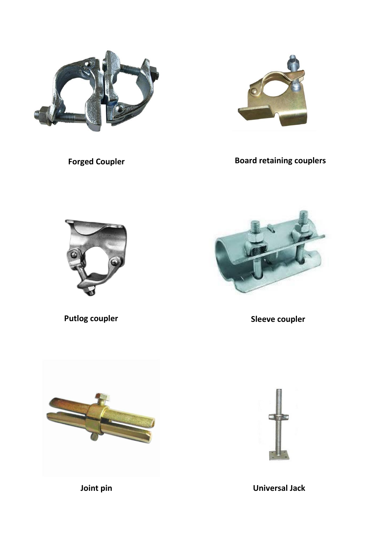



**Forged Coupler Board retaining couplers** 





**Putlog coupler Sleeve coupler**





**Joint pin Universal Jack**